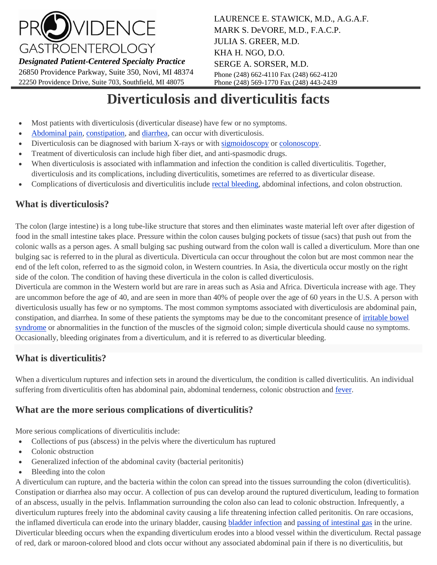

*Designated Patient-Centered Specialty Practice*

26850 Providence Parkway, Suite 350, Novi, MI 48374 22250 Providence Drive, Suite 703, Southfield, MI 48075

LAURENCE E. STAWICK, M.D., A.G.A.F. MARK S. DeVORE, M.D., F.A.C.P. JULIA S. GREER, M.D. KHA H. NGO, D.O. SERGE A. SORSER, M.D. Phone (248) 662-4110 Fax (248) 662-4120 Phone (248) 569-1770 Fax (248) 443-2439

# **Diverticulosis and diverticulitis facts**

- Most patients with diverticulosis (diverticular disease) have few or no symptoms.
- [Abdominal pain,](http://www.medicinenet.com/script/main/art.asp?articlekey=1908) [constipation,](http://www.medicinenet.com/script/main/art.asp?articlekey=331) an[d diarrhea,](http://www.medicinenet.com/script/main/art.asp?articlekey=1900) can occur with diverticulosis.
- Diverticulosis can be diagnosed with barium X-rays or with [sigmoidoscopy](http://www.medicinenet.com/script/main/art.asp?articlekey=6276) or [colonoscopy.](http://www.medicinenet.com/script/main/art.asp?articlekey=327)
- Treatment of diverticulosis can include high fiber diet, and anti-spasmodic drugs.
- When diverticulosis is associated with inflammation and infection the condition is called diverticulitis. Together, diverticulosis and its complications, including diverticulitis, sometimes are referred to as diverticular disease.
- Complications of diverticulosis and diverticulitis include [rectal bleeding,](http://www.medicinenet.com/script/main/art.asp?articlekey=1931) abdominal infections, and colon obstruction.

## **What is diverticulosis?**

The colon (large intestine) is a long tube-like structure that stores and then eliminates waste material left over after digestion of food in the small intestine takes place. Pressure within the colon causes bulging pockets of tissue (sacs) that push out from the colonic walls as a person ages. A small bulging sac pushing outward from the colon wall is called a diverticulum. More than one bulging sac is referred to in the plural as diverticula. Diverticula can occur throughout the colon but are most common near the end of the left colon, referred to as the sigmoid colon, in Western countries. In Asia, the diverticula occur mostly on the right side of the colon. The condition of having these diverticula in the colon is called diverticulosis.

Diverticula are common in the Western world but are rare in areas such as Asia and Africa. Diverticula increase with age. They are uncommon before the age of 40, and are seen in more than 40% of people over the age of 60 years in the U.S. A person with diverticulosis usually has few or no symptoms. The most common symptoms associated with diverticulosis are abdominal pain, constipation, and diarrhea. In some of these patients the symptoms may be due to the concomitant presence of [irritable bowel](http://www.medicinenet.com/script/main/art.asp?articlekey=144340)  [syndrome](http://www.medicinenet.com/script/main/art.asp?articlekey=144340) or abnormalities in the function of the muscles of the sigmoid colon; simple diverticula should cause no symptoms. Occasionally, bleeding originates from a diverticulum, and it is referred to as diverticular bleeding.

## **What is diverticulitis?**

When a diverticulum ruptures and infection sets in around the diverticulum, the condition is called diverticulitis. An individual suffering from diverticulitis often has abdominal pain, abdominal tenderness, colonic obstruction and [fever.](http://www.medicinenet.com/script/main/art.asp?articlekey=361)

## **What are the more serious complications of diverticulitis?**

More serious complications of diverticulitis include:

- Collections of pus (abscess) in the pelvis where the diverticulum has ruptured
- Colonic obstruction
- Generalized infection of the abdominal cavity (bacterial peritonitis)
- Bleeding into the colon

A diverticulum can rupture, and the bacteria within the colon can spread into the tissues surrounding the colon (diverticulitis). Constipation or diarrhea also may occur. A collection of pus can develop around the ruptured diverticulum, leading to formation of an abscess, usually in the pelvis. Inflammation surrounding the colon also can lead to colonic obstruction. Infrequently, a diverticulum ruptures freely into the abdominal cavity causing a life threatening infection called peritonitis. On rare occasions, the inflamed diverticula can erode into the urinary bladder, causing [bladder infection](http://www.medicinenet.com/script/main/art.asp?articlekey=143561) and [passing of intestinal gas](http://www.medicinenet.com/script/main/art.asp?articlekey=370) in the urine. Diverticular bleeding occurs when the expanding diverticulum erodes into a blood vessel within the diverticulum. Rectal passage of red, dark or maroon-colored blood and clots occur without any associated abdominal pain if there is no diverticulitis, but